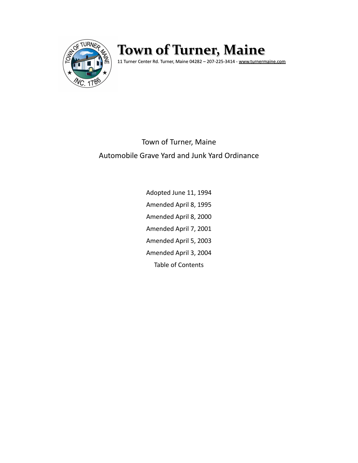

# **Town of Turner, Maine**

11 Turner Center Rd. Turner, Maine 04282 – 207-225-3414 - [www.turnermaine.com](http://www.turnermaine.com/)

# Town of Turner, Maine Automobile Grave Yard and Junk Yard Ordinance

Adopted June 11, 1994 Amended April 8, 1995 Amended April 8, 2000 Amended April 7, 2001 Amended April 5, 2003 Amended April 3, 2004 Table of Contents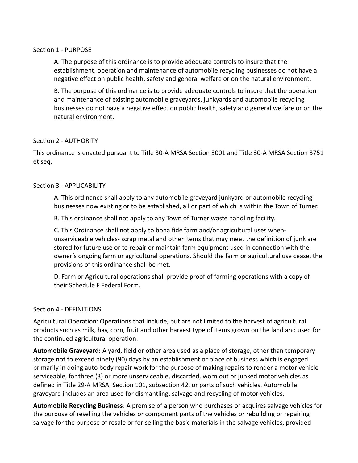#### Section 1 - PURPOSE

A. The purpose of this ordinance is to provide adequate controls to insure that the establishment, operation and maintenance of automobile recycling businesses do not have a negative effect on public health, safety and general welfare or on the natural environment.

B. The purpose of this ordinance is to provide adequate controls to insure that the operation and maintenance of existing automobile graveyards, junkyards and automobile recycling businesses do not have a negative effect on public health, safety and general welfare or on the natural environment.

# Section 2 - AUTHORITY

This ordinance is enacted pursuant to Title 30-A MRSA Section 3001 and Title 30-A MRSA Section 3751 et seq.

#### Section 3 - APPLICABILITY

A. This ordinance shall apply to any automobile graveyard junkyard or automobile recycling businesses now existing or to be established, all or part of which is within the Town of Turner.

B. This ordinance shall not apply to any Town of Turner waste handling facility.

C. This Ordinance shall not apply to bona fide farm and/or agricultural uses whenunserviceable vehicles- scrap metal and other items that may meet the definition of junk are stored for future use or to repair or maintain farm equipment used in connection with the owner's ongoing farm or agricultural operations. Should the farm or agricultural use cease, the provisions of this ordinance shall be met.

D. Farm or Agricultural operations shall provide proof of farming operations with a copy of their Schedule F Federal Form.

# Section 4 - DEFINITIONS

Agricultural Operation: Operations that include, but are not limited to the harvest of agricultural products such as milk, hay, corn, fruit and other harvest type of items grown on the land and used for the continued agricultural operation.

**Automobile Graveyard:** A yard, field or other area used as a place of storage, other than temporary storage not to exceed ninety (90) days by an establishment or place of business which is engaged primarily in doing auto body repair work for the purpose of making repairs to render a motor vehicle serviceable, for three (3) or more unserviceable, discarded, worn out or junked motor vehicles as defined in Title 29-A MRSA, Section 101, subsection 42, or parts of such vehicles. Automobile graveyard includes an area used for dismantling, salvage and recycling of motor vehicles.

**Automobile Recycling Business**: A premise of a person who purchases or acquires salvage vehicles for the purpose of reselling the vehicles or component parts of the vehicles or rebuilding or repairing salvage for the purpose of resale or for selling the basic materials in the salvage vehicles, provided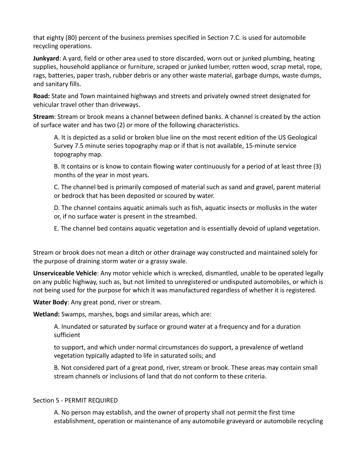that eighty (80) percent of the business premises specified in Section 7.C. is used for automobile recycling operations.

**Junkyard**: A yard, field or other area used to store discarded, worn out or junked plumbing, heating supplies, household appliance or furniture, scraped or junked lumber, rotten wood, scrap metal, rope, rags, batteries, paper trash, rubber debris or any other waste material, garbage dumps, waste dumps, and sanitary fills.

**Road:** State and Town maintained highways and streets and privately owned street designated for vehicular travel other than driveways.

**Stream**: Stream or brook means a channel between defined banks. A channel is created by the action of surface water and has two (2) or more of the following characteristics.

A. It is depicted as a solid or broken blue line on the most recent edition of the US Geological Survey 7.5 minute series topography map or if that is not available, 15-minute service topography map.

B. It contains or is know to contain flowing water continuously for a period of at least three (3) months of the year in most years.

C. The channel bed is primarily composed of material such as sand and gravel, parent material or bedrock that has been deposited or scoured by water.

D. The channel contains aquatic animals such as fish, aquatic insects or mollusks in the water or, if no surface water is present in the streambed.

E. The channel bed contains aquatic vegetation and is essentially devoid of upland vegetation.

Stream or brook does not mean a ditch or other drainage way constructed and maintained solely for the purpose of draining storm water or a grassy swale.

**Unserviceable Vehicle**: Any motor vehicle which is wrecked, dismantled, unable to be operated legally on any public highway, such as, but not limited to unregistered or undisputed automobiles, or which is not being used for the purpose for which it was manufactured regardless of whether it is registered.

**Water Body**: Any great pond, river or stream.

**Wetland:** Swamps, marshes, bogs and similar areas, which are:

A. Inundated or saturated by surface or ground water at a frequency and for a duration sufficient

to support, and which under normal circumstances do support, a prevalence of wetland vegetation typically adapted to life in saturated soils; and

B. Not considered part of a great pond, river, stream or brook. These areas may contain small stream channels or inclusions of land that do not conform to these criteria.

# Section 5 - PERMIT REQUIRED

A. No person may establish, and the owner of property shall not permit the first time establishment, operation or maintenance of any automobile graveyard or automobile recycling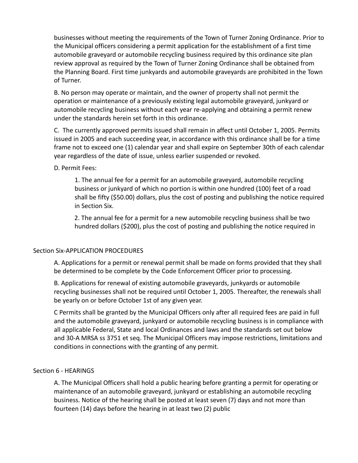businesses without meeting the requirements of the Town of Turner Zoning Ordinance. Prior to the Municipal officers considering a permit application for the establishment of a first time automobile graveyard or automobile recycling business required by this ordinance site plan review approval as required by the Town of Turner Zoning Ordinance shall be obtained from the Planning Board. First time junkyards and automobile graveyards are prohibited in the Town of Turner.

B. No person may operate or maintain, and the owner of property shall not permit the operation or maintenance of a previously existing legal automobile graveyard, junkyard or automobile recycling business without each year re-applying and obtaining a permit renew under the standards herein set forth in this ordinance.

C. The currently approved permits issued shall remain in affect until October 1, 2005. Permits issued in 2005 and each succeeding year, in accordance with this ordinance shall be for a time frame not to exceed one (1) calendar year and shall expire on September 30th of each calendar year regardless of the date of issue, unless earlier suspended or revoked.

D. Permit Fees:

1. The annual fee for a permit for an automobile graveyard, automobile recycling business or junkyard of which no portion is within one hundred (100) feet of a road shall be fifty (\$50.00) dollars, plus the cost of posting and publishing the notice required in Section Six.

 2. The annual fee for a permit for a new automobile recycling business shall be two hundred dollars (\$200), plus the cost of posting and publishing the notice required in

# Section Six-APPLICATION PROCEDURES

A. Applications for a permit or renewal permit shall be made on forms provided that they shall be determined to be complete by the Code Enforcement Officer prior to processing.

B. Applications for renewal of existing automobile graveyards, junkyards or automobile recycling businesses shall not be required until October 1, 2005. Thereafter, the renewals shall be yearly on or before October 1st of any given year.

C Permits shall be granted by the Municipal Officers only after all required fees are paid in full and the automobile graveyard, junkyard or automobile recycling business is in compliance with all applicable Federal, State and local Ordinances and laws and the standards set out below and 30-A MRSA ss 3751 et seq. The Municipal Officers may impose restrictions, limitations and conditions in connections with the granting of any permit.

# Section 6 - HEARINGS

A. The Municipal Officers shall hold a public hearing before granting a permit for operating or maintenance of an automobile graveyard, junkyard or establishing an automobile recycling business. Notice of the hearing shall be posted at least seven (7) days and not more than fourteen (14) days before the hearing in at least two (2) public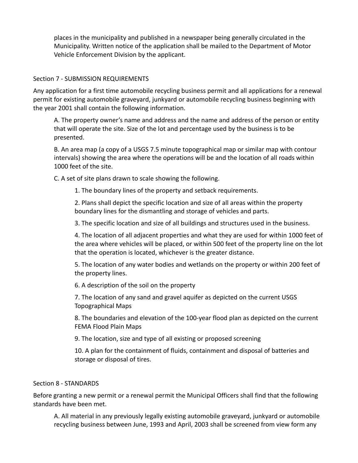places in the municipality and published in a newspaper being generally circulated in the Municipality. Written notice of the application shall be mailed to the Department of Motor Vehicle Enforcement Division by the applicant.

# Section 7 - SUBMISSION REQUIREMENTS

Any application for a first time automobile recycling business permit and all applications for a renewal permit for existing automobile graveyard, junkyard or automobile recycling business beginning with the year 2001 shall contain the following information.

A. The property owner's name and address and the name and address of the person or entity that will operate the site. Size of the lot and percentage used by the business is to be presented.

B. An area map (a copy of a USGS 7.5 minute topographical map or similar map with contour intervals) showing the area where the operations will be and the location of all roads within 1000 feet of the site.

C. A set of site plans drawn to scale showing the following.

1. The boundary lines of the property and setback requirements.

2. Plans shall depict the specific location and size of all areas within the property boundary lines for the dismantling and storage of vehicles and parts.

3. The specific location and size of all buildings and structures used in the business.

4. The location of all adjacent properties and what they are used for within 1000 feet of the area where vehicles will be placed, or within 500 feet of the property line on the lot that the operation is located, whichever is the greater distance.

5. The location of any water bodies and wetlands on the property or within 200 feet of the property lines.

6. A description of the soil on the property

7. The location of any sand and gravel aquifer as depicted on the current USGS Topographical Maps

8. The boundaries and elevation of the 100-year flood plan as depicted on the current FEMA Flood Plain Maps

9. The location, size and type of all existing or proposed screening

10. A plan for the containment of fluids, containment and disposal of batteries and storage or disposal of tires.

# Section 8 - STANDARDS

Before granting a new permit or a renewal permit the Municipal Officers shall find that the following standards have been met.

A. All material in any previously legally existing automobile graveyard, junkyard or automobile recycling business between June, 1993 and April, 2003 shall be screened from view form any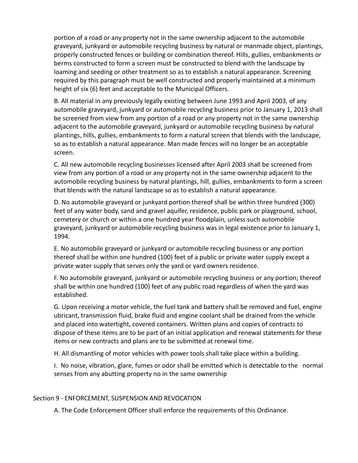portion of a road or any property not in the same ownership adjacent to the automobile graveyard, junkyard or automobile recycling business by natural or manmade object, plantings, properly constructed fences or building or combination thereof. Hills, gullies, embankments or berms constructed to form a screen must be constructed to blend with the landscape by loaming and seeding or other treatment so as to establish a natural appearance. Screening required by this paragraph must be well constructed and properly maintained at a minimum height of six (6) feet and acceptable to the Municipal Officers.

B. All material in any previously legally existing between June 1993 and April 2003, of any automobile graveyard, junkyard or automobile recycling business prior to January 1, 2013 shall be screened from view from any portion of a road or any property not in the same ownership adjacent to the automobile graveyard, junkyard or automobile recycling business by natural plantings, hills, gullies, embankments to form a natural screen that blends with the landscape, so as to establish a natural appearance. Man made fences will no longer be an acceptable screen.

C. All new automobile recycling businesses licensed after April 2003 shall be screened from view from any portion of a road or any property not in the same ownership adjacent to the automobile recycling business by natural plantings, hill, gullies, embankments to form a screen that blends with the natural landscape so as to establish a natural appearance.

D. No automobile graveyard or junkyard portion thereof shall be within three hundred (300) feet of any water body, sand and gravel aquifer, residence, public park or playground, school, cemetery or church or within a one hundred year floodplain, unless such automobile graveyard, junkyard or automobile recycling business was in legal existence prior to January 1, 1994.

E. No automobile graveyard or junkyard or automobile recycling business or any portion thereof shall be within one hundred (100) feet of a public or private water supply except a private water supply that serves only the yard or yard owners residence.

F. No automobile graveyard, junkyard or automobile recycling business or any portion; thereof shall be within one hundred (100) feet of any public road regardless of when the yard was established.

G. Upon receiving a motor vehicle, the fuel tank and battery shall be removed and fuel, engine ubricant, transmission fluid, brake fluid and engine coolant shall be drained from the vehicle and placed into watertight, covered containers. Written plans and copies of contracts to dispose of these items are to be part of an initial application and renewal statements for these items or new contracts and plans are to be submitted at renewal time.

H. All dismantling of motor vehicles with power tools shall take place within a building.

I. No noise, vibration, glare, fumes or odor shall be emitted which is detectable to the normal senses from any abutting property no in the same ownership

# Section 9 - ENFORCEMENT, SUSPENSION AND REVOCATION

A. The Code Enforcement Officer shall enforce the requirements of this Ordinance.